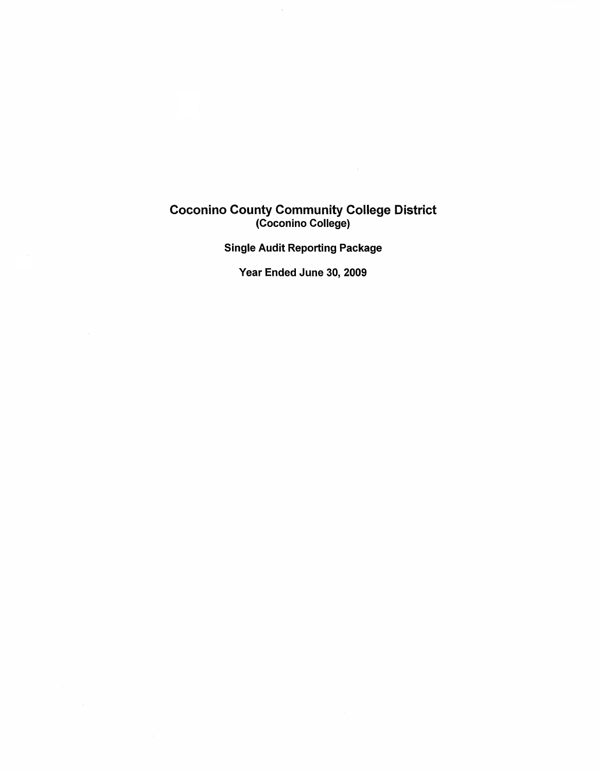### Coconino County Community College District (Coconino College)

 $\mathcal{L}_{\text{max}}$ 

 $\hat{\mathcal{A}}$ 

Single Audit Reporting Package

Year Ended June 30, 2009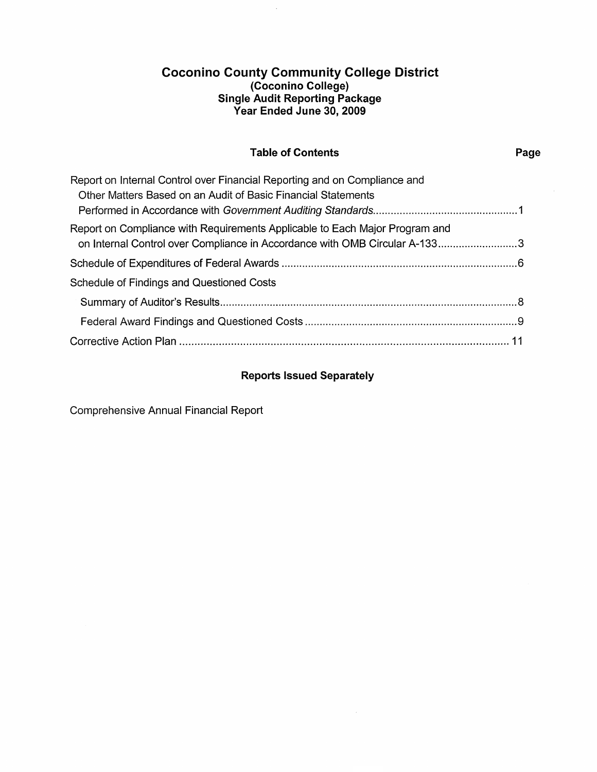## **Coconino County Community College District (Coconino College) Single Audit Reporting Package Year Ended June 30, 2009**

# **Table of Contents Page**

| Report on Internal Control over Financial Reporting and on Compliance and   |  |
|-----------------------------------------------------------------------------|--|
| Other Matters Based on an Audit of Basic Financial Statements               |  |
|                                                                             |  |
| Report on Compliance with Requirements Applicable to Each Major Program and |  |
| on Internal Control over Compliance in Accordance with OMB Circular A-1333  |  |
|                                                                             |  |
| <b>Schedule of Findings and Questioned Costs</b>                            |  |
|                                                                             |  |
|                                                                             |  |
|                                                                             |  |

# **Reports Issued Separately**

Comprehensive Annual Financial Report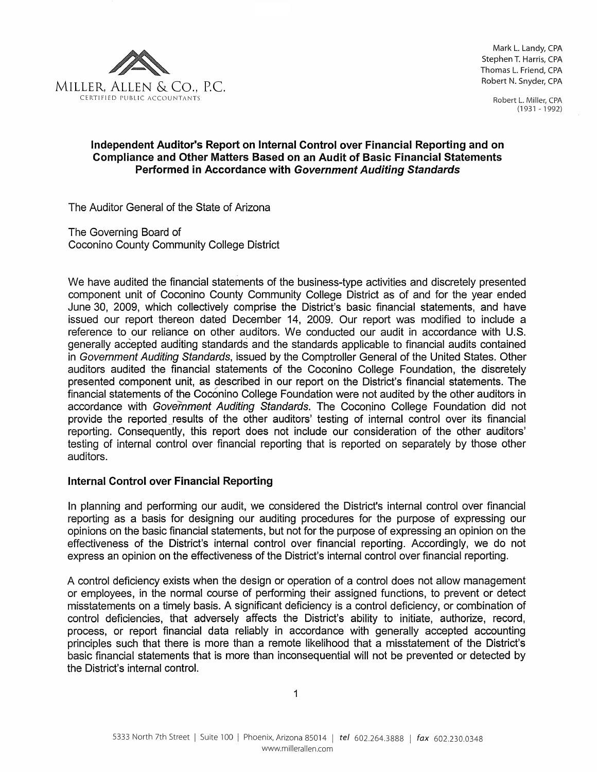

Mark L. Landy, CPA Stephen T. Harris, CPA Thomas L. Friend, CPA Robert N. Snyder, CPA

> Robert L. Miller, CPA (1931 - 1992)

### Independent Auditor's Report on Internal Control over Financial Reporting and on Compliance and Other Matters Based on an Audit of Basic Financial Statements Performed in Accordance with Government Auditing Standards

The Auditor General of the State of Arizona

The Governing Board of Coconino County Community College District

We have audited the financial statements of the business-type activities and discretely presented component unit of Coconino County Community College District as of and for the year ended June 30, 2009, which collectively comprise the District's basic financial statements, and have issued our report thereon dated December 14, 2009. Our report was modified to include a reference to our reliance on other auditors. We conducted our audit in accordance with U.S. generally accepted auditing standards and the standards applicable to financial audits contained in Government Auditing Standards, issued by the Comptroller General of the United States. Other auditors audited the financial statements of the Coconino College Foundation, the discretely presented component unit, as described in our report on the District's financial statements. The financial statements of the Coconino College Foundation were not audited by the other auditors in accordance with Government Auditing Standards. The Coconino College Foundation did not provide the reported results of the other auditors' testing of internal control over its financial reporting. Consequently, this report does not include our consideration of the other auditors' testing of internal control over financial reporting that is reported on separately by those other auditors.

### Internal Control over Financial Reporting

In planning and performing our audit, we considered the District's internal control over financial reporting as a basis for designing our auditing procedures for the purpose of expressing our opinions on the basic financial statements, but not for the purpose of expressing an opinion on the effectiveness of the District's internal control over financial reporting. Accordingly, we do not express an opinion on the effectiveness of the District's internal control over financial reporting.

A control deficiency exists when the design or operation of a control does not allow management or employees, in the normal course of performing their assigned functions, to prevent or detect misstatements on a timely basis. A significant deficiency is a control deficiency, or combination of control deficiencies, that adversely affects the District's ability to initiate, authorize, record, process, or report financial data reliably in accordance with generally accepted accounting principles such that there is more than a remote likelihood that a misstatement of the District's basic financial statements that is more than inconsequential will not be prevented or detected by the District's internal control.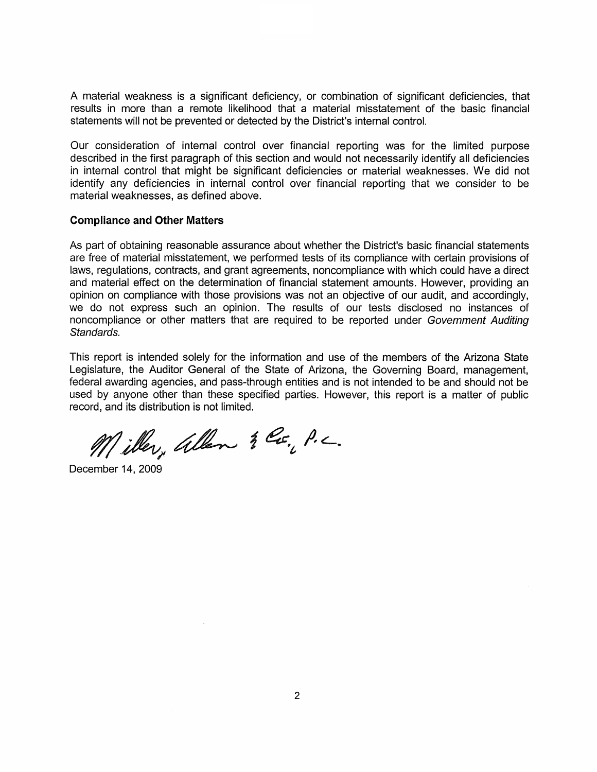A material weakness is a significant deficiency, or combination of significant deficiencies, that results in more than a remote likelihood that a material misstatement of the basic financial statements will not be prevented or detected by the District's internal control.

Our consideration of internal control over financial reporting was for the limited purpose described in the first paragraph of this section and would not necessarily identify all deficiencies in internal control that might be significant deficiencies or material weaknesses. We did not identify any deficiencies in internal control over financial reporting that we consider to be material weaknesses, as defined above.

#### **Compliance and Other Matters**

As part of obtaining reasonable assurance about whether the District's basic financial statements are free of material misstatement, we performed tests of its compliance with certain provisions of laws, regulations, contracts, and grant agreements, noncompliance with which could have a direct and material effect on the determination of financial statement amounts. However, providing an opinion on compliance with those provisions was not an objective of our audit, and accordingly, we do not express such an opinion. The results of our tests disclosed no instances of noncompliance or other matters that are required to be reported under Government Auditing Standards.

This report is intended solely for the information and use of the members of the Arizona State Legislature, the Auditor General of the State of Arizona, the Governing Board, management, federal awarding agencies, and pass-through entities and is not intended to be and should not be used by anyone other than these specified parties. However, this report is a matter of public record, and its distribution is not limited.

Miller, allen & Co., P.C.

December 14, 2009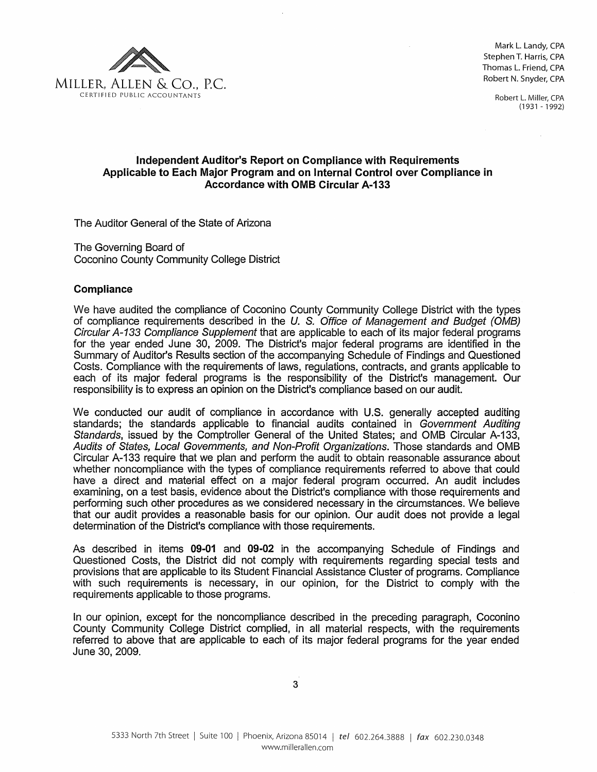

Mark L. Landy, CPA Stephen T. Harris, CPA Thomas L. Friend, CPA Robert N. Snyder, CPA

> Robert L. Miller, CPA (1931-1992)

### Independent Auditor's Report on Compliance with Requirements Applicable to Each Major Program and on Internal Control over Compliance in Accordance with OMB Circular A-133

The Auditor General of the State of Arizona

The Governing Board of Coconino County Community College District

#### **Compliance**

We have audited the compliance of Coconino County Community College District with the types of compliance requirements described in the U. S. Office of Management and Budget (OMB) Circular A-133 Compliance Supplement that are applicable to each of its major federal programs for the year ended June 30, 2009. The District's major federal programs are identified in the Summary of Auditor's Results section of the accompanying Schedule of Findings and Questioned Costs. Compliance with the requirements of laws, regulations, contracts, and grants applicable to each of its major federal programs is the responsibility of the District's management. Our responsibility is to express an opinion on the District's compliance based on our audit.

We conducted our audit of compliance in accordance with U.S. generally accepted auditing standards; the standards applicable to financial audits contained in Government Auditing Standards, issued by the Comptroller General of the United States; and OMB Circular A-133, Audits of States, Local Governments, and Non-Profit Organizations. Those standards and OMB Circular A-133 require that we plan and perform the audit to obtain reasonable assurance about whether noncompliance with the types of compliance requirements referred to above that could have a direct and material effect on a major federal program occurred. An audit includes examining, on a test basis, evidence about the District's compliance with those requirements and performing such other procedures as we considered necessary in the circumstances. We believe that our audit provides a reasonable basis for our opinion. Our audit does not provide a legal determination of the District's compliance with those requirements.

As described in items 09-01 and 09-02 in the accompanying Schedule of Findings and Questioned Costs, the District did not comply with requirements regarding special tests and provisions that are applicable to its Student Financial Assistance Cluster of programs. Compliance with such requirements is necessary, in our opinion, for the District to comply with the requirements applicable to those programs.

In our opinion, except for the noncompliance described in the preceding paragraph, Coconino County Community College District complied, in all material respects, with the requirements referred to above that are applicable to each of its major federal programs for the year ended June 30, 2009.

3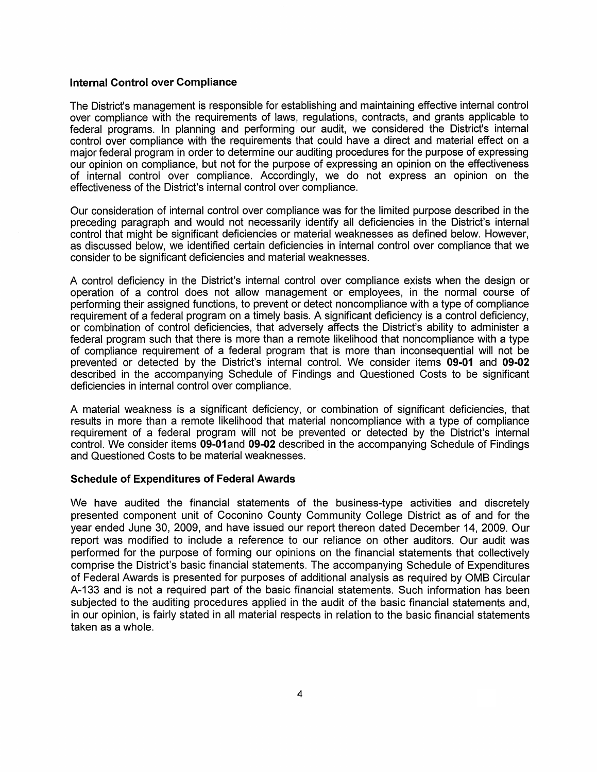#### **Internal Control over Compliance**

The District's management is responsible for establishing and maintaining effective internal control over compliance with the requirements of laws, regulations, contracts, and grants applicable to federal programs. In planning and performing our audit, we considered the District's internal control over compliance with the requirements that could have a direct and material effect on a major federal program in order to determine our auditing procedures for the purpose of expressing our opinion on compliance, but not for the purpose of expressing an opinion on the effectiveness of internal control over compliance. Accordingly, we do not express an opinion on the effectiveness of the District's internal control over compliance.

Our consideration of internal control over compliance was for the limited purpose described in the preceding paragraph and would not necessarily identify all deficiencies in the District's internal control that might be significant deficiencies or material weaknesses as defined below. However, as discussed below, we identified certain deficiencies in internal control over compliance that we consider to be significant deficiencies and material weaknesses.

A control deficiency in the District's internal control over compliance exists when the design or operation of a control does not allow management or employees, in the normal course of performing their assigned functions, to prevent or detect noncompliance with a type of compliance requirement of a federal program on a timely basis. A significant deficiency is a control deficiency, or combination of control deficiencies, that adversely affects the District's ability to administer a federal program such that there is more than a remote likelihood that noncompliance with a type of compliance requirement of a federal program that is more than inconsequential will not be prevented or detected by the District's internal control. We consider items **09-01** and **09-02** described in the accompanying Schedule of Findings and Questioned Costs to be significant deficiencies in internal control over compliance.

A material weakness is a significant deficiency, or combination of significant deficiencies, that results in more than a remote likelihood that material noncompliance with a type of compliance requirement of a federal program will not be prevented or detected by the District's internal control. We consider items **09-01** and **09-02** described in the accompanying Schedule of Findings and Questioned Costs to be material weaknesses.

#### **Schedule of Expenditures of Federal Awards**

We have audited the financial statements of the business-type activities and discretely presented component unit of Coconino County Community College District as of and for the year ended June 30, 2009, and have issued our report thereon dated December 14, 2009. Our report was modified to include a reference to our reliance on other auditors. Our audit was performed for the purpose of forming our opinions on the financial statements that collectively comprise the District's basic financial statements. The accompanying Schedule of Expenditures of Federal Awards is presented for purposes of additional analysis as required by OMS Circular A-133 and is not a required part of the basic financial statements. Such information has been subjected to the auditing procedures applied in the audit of the basic financial statements and, in our opinion, is fairly stated in all material respects in relation to the basic financial statements taken as a whole.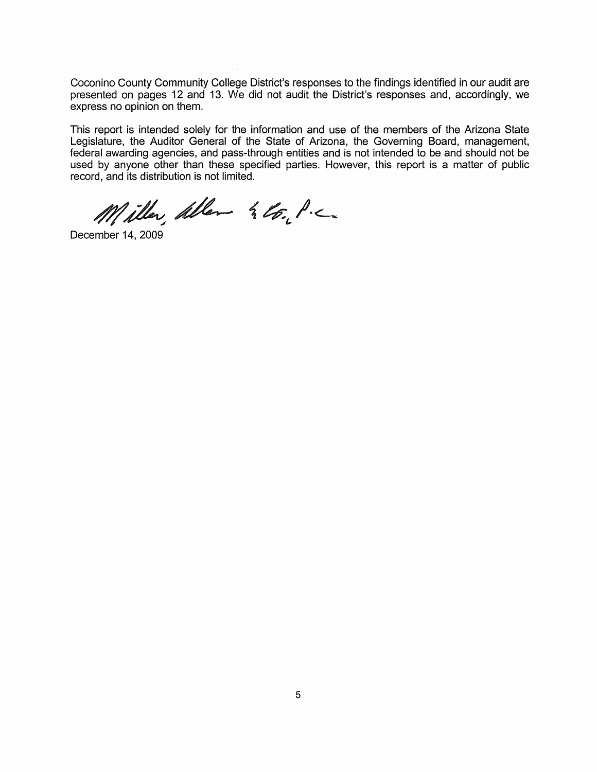Coconino County Community College District's responses to the findings identified in our audit are presented on pages 12 and 13. We did not audit the District's responses and, accordingly, we express no opinion on them.

This report is intended solely for the information and use of the members of the Arizona State Legislature, the Auditor General of the State of Arizona, the Governing Board, management, federal awarding agencies, and pass-through entities and is not intended to be and should not be used by anyone other than these specified parties. However, this report is a matter of public record, and its distribution is not limited.

Miller Aller & Co. P.C.

December 14, 2009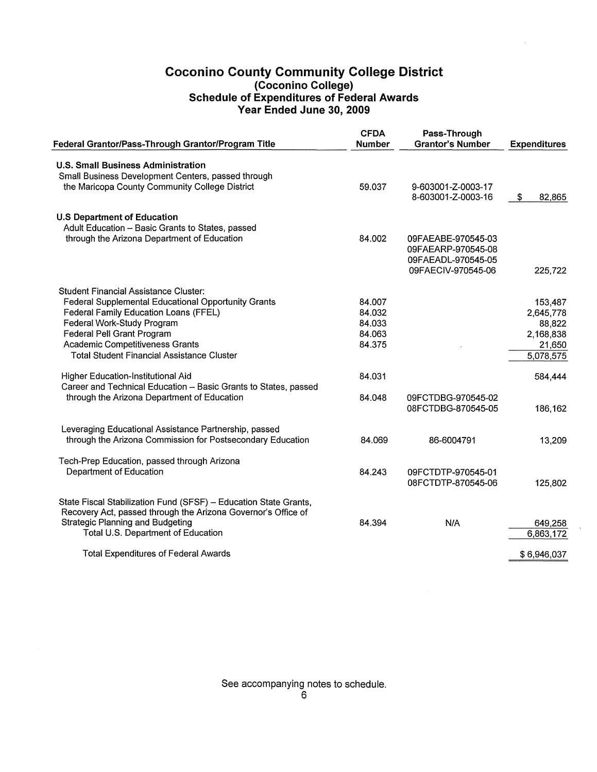## Coconino County Community College District (Coconino College) Schedule of Expenditures of Federal Awards Year Ended June 30, 2009

| Federal Grantor/Pass-Through Grantor/Program Title               | <b>CFDA</b><br><b>Number</b> | Pass-Through<br><b>Grantor's Number</b> | <b>Expenditures</b> |
|------------------------------------------------------------------|------------------------------|-----------------------------------------|---------------------|
| U.S. Small Business Administration                               |                              |                                         |                     |
| Small Business Development Centers, passed through               |                              |                                         |                     |
| the Maricopa County Community College District                   | 59.037                       | 9-603001-Z-0003-17                      |                     |
|                                                                  |                              | 8-603001-Z-0003-16                      | \$<br>82,865        |
| <b>U.S Department of Education</b>                               |                              |                                         |                     |
| Adult Education - Basic Grants to States, passed                 |                              |                                         |                     |
| through the Arizona Department of Education                      | 84.002                       | 09FAEABE-970545-03                      |                     |
|                                                                  |                              | 09FAEARP-970545-08                      |                     |
|                                                                  |                              | 09FAEADL-970545-05                      |                     |
|                                                                  |                              | 09FAECIV-970545-06                      | 225,722             |
| Student Financial Assistance Cluster:                            |                              |                                         |                     |
| Federal Supplemental Educational Opportunity Grants              | 84.007                       |                                         | 153,487             |
| Federal Family Education Loans (FFEL)                            | 84.032                       |                                         | 2,645,778           |
| Federal Work-Study Program                                       | 84.033                       |                                         | 88,822              |
| Federal Pell Grant Program                                       | 84.063                       |                                         | 2,168,838           |
| <b>Academic Competitiveness Grants</b>                           | 84.375                       |                                         | 21,650              |
| <b>Total Student Financial Assistance Cluster</b>                |                              |                                         | 5,078,575           |
| Higher Education-Institutional Aid                               | 84.031                       |                                         | 584,444             |
| Career and Technical Education - Basic Grants to States, passed  |                              |                                         |                     |
| through the Arizona Department of Education                      | 84.048                       | 09FCTDBG-970545-02                      |                     |
|                                                                  |                              | 08FCTDBG-870545-05                      | 186,162             |
| Leveraging Educational Assistance Partnership, passed            |                              |                                         |                     |
| through the Arizona Commission for Postsecondary Education       | 84.069                       | 86-6004791                              | 13,209              |
| Tech-Prep Education, passed through Arizona                      |                              |                                         |                     |
| Department of Education                                          | 84.243                       | 09FCTDTP-970545-01                      |                     |
|                                                                  |                              | 08FCTDTP-870545-06                      | 125,802             |
| State Fiscal Stabilization Fund (SFSF) - Education State Grants, |                              |                                         |                     |
| Recovery Act, passed through the Arizona Governor's Office of    |                              |                                         |                     |
| <b>Strategic Planning and Budgeting</b>                          | 84.394                       | N/A                                     | 649,258             |
| Total U.S. Department of Education                               |                              |                                         | 6,863,172           |
| <b>Total Expenditures of Federal Awards</b>                      |                              |                                         | \$6,946,037         |
|                                                                  |                              |                                         |                     |

See accompanying notes to schedule.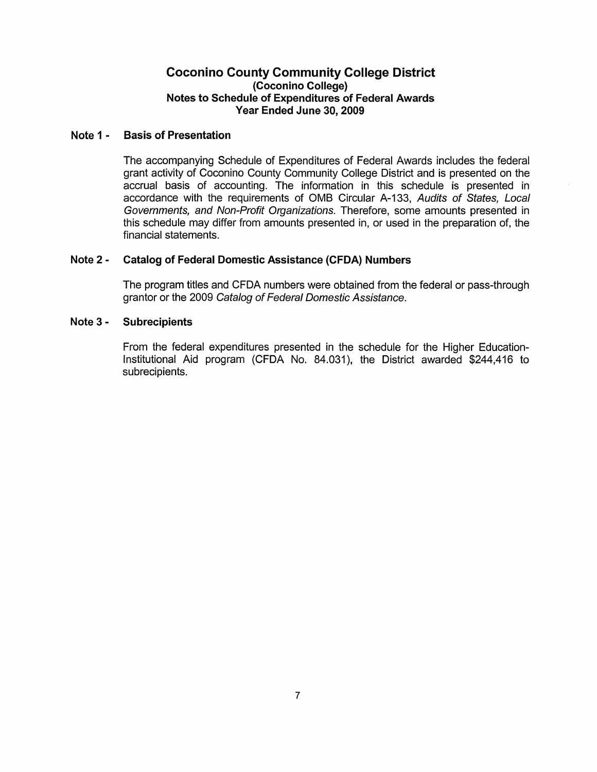### Coconino County Community College District (Coconino College) Notes to Schedule of Expenditures of Federal Awards Year Ended June 30, 2009

#### Note 1· Basis of Presentation

The accompanying Schedule of Expenditures of Federal Awards includes the federal grant activity of Coconino County Community College District and is presented on the accrual basis of accounting. The information in this schedule is presented in accordance with the requirements of OMS Circular A-133, Audits of States, Local Governments, and Non-Profit Organizations. Therefore, some amounts presented in this schedule may differ from amounts presented in, or used in the preparation of, the financial statements.

#### Note 2 • Catalog of Federal Domestic Assistance (CFDA) Numbers

The program titles and CFDA numbers were obtained from the federal or pass-through grantor or the 2009 Catalog of Federal Domestic Assistance.

#### Note 3· Subrecipients

From the federal expenditures presented in the schedule for the Higher Education-Institutional Aid program (CFDA No. 84.031), the District awarded \$244,416 to subrecipients.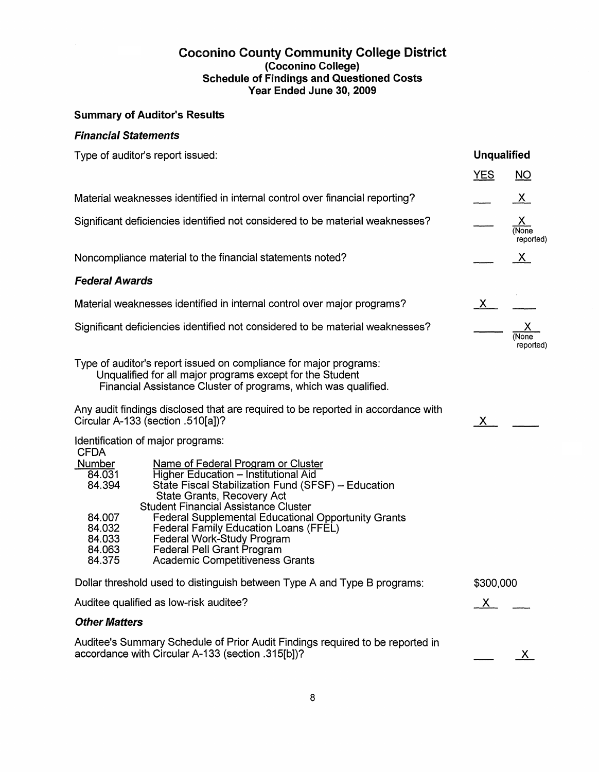### Coconino County Community College District (Coconino College) Schedule of Findings and Questioned Costs Year Ended June 30,2009

# Summary of Auditor's Results

## Financial Statements

| Type of auditor's report issued:                                                                                                                                                                                                                                                                                                                                                                                                                                                                                                                        |              | <b>Unqualified</b>             |  |  |
|---------------------------------------------------------------------------------------------------------------------------------------------------------------------------------------------------------------------------------------------------------------------------------------------------------------------------------------------------------------------------------------------------------------------------------------------------------------------------------------------------------------------------------------------------------|--------------|--------------------------------|--|--|
|                                                                                                                                                                                                                                                                                                                                                                                                                                                                                                                                                         | <b>YES</b>   | NO                             |  |  |
| Material weaknesses identified in internal control over financial reporting?                                                                                                                                                                                                                                                                                                                                                                                                                                                                            |              | $\overline{X}$                 |  |  |
| Significant deficiencies identified not considered to be material weaknesses?                                                                                                                                                                                                                                                                                                                                                                                                                                                                           |              | <u>X</u><br>(None<br>reported) |  |  |
| Noncompliance material to the financial statements noted?                                                                                                                                                                                                                                                                                                                                                                                                                                                                                               |              | $\mathbf{X}$                   |  |  |
| <b>Federal Awards</b>                                                                                                                                                                                                                                                                                                                                                                                                                                                                                                                                   |              |                                |  |  |
| Material weaknesses identified in internal control over major programs?                                                                                                                                                                                                                                                                                                                                                                                                                                                                                 | X            |                                |  |  |
| Significant deficiencies identified not considered to be material weaknesses?                                                                                                                                                                                                                                                                                                                                                                                                                                                                           |              | (None<br>reported)             |  |  |
| Type of auditor's report issued on compliance for major programs:<br>Unqualified for all major programs except for the Student<br>Financial Assistance Cluster of programs, which was qualified.                                                                                                                                                                                                                                                                                                                                                        |              |                                |  |  |
| Any audit findings disclosed that are required to be reported in accordance with<br>Circular A-133 (section .510[a])?                                                                                                                                                                                                                                                                                                                                                                                                                                   | X I          |                                |  |  |
| Identification of major programs:<br><b>CFDA</b><br>Number<br>Name of Federal Program or Cluster<br><b>Higher Education - Institutional Aid</b><br>84.031<br>84.394<br>State Fiscal Stabilization Fund (SFSF) - Education<br>State Grants, Recovery Act<br><b>Student Financial Assistance Cluster</b><br>Federal Supplemental Educational Opportunity Grants<br>84.007<br>84.032<br>Federal Family Education Loans (FFEL)<br>Federal Work-Study Program<br>84.033<br>Federal Pell Grant Program<br>84.063<br>Academic Competitiveness Grants<br>84.375 |              |                                |  |  |
| Dollar threshold used to distinguish between Type A and Type B programs:                                                                                                                                                                                                                                                                                                                                                                                                                                                                                | \$300,000    |                                |  |  |
| Auditee qualified as low-risk auditee?                                                                                                                                                                                                                                                                                                                                                                                                                                                                                                                  | $\mathsf{X}$ |                                |  |  |
| <b>Other Matters</b>                                                                                                                                                                                                                                                                                                                                                                                                                                                                                                                                    |              |                                |  |  |
| Auditee's Summary Schedule of Prior Audit Findings required to be reported in<br>accordance with Circular A-133 (section .315[b])?                                                                                                                                                                                                                                                                                                                                                                                                                      |              | X.                             |  |  |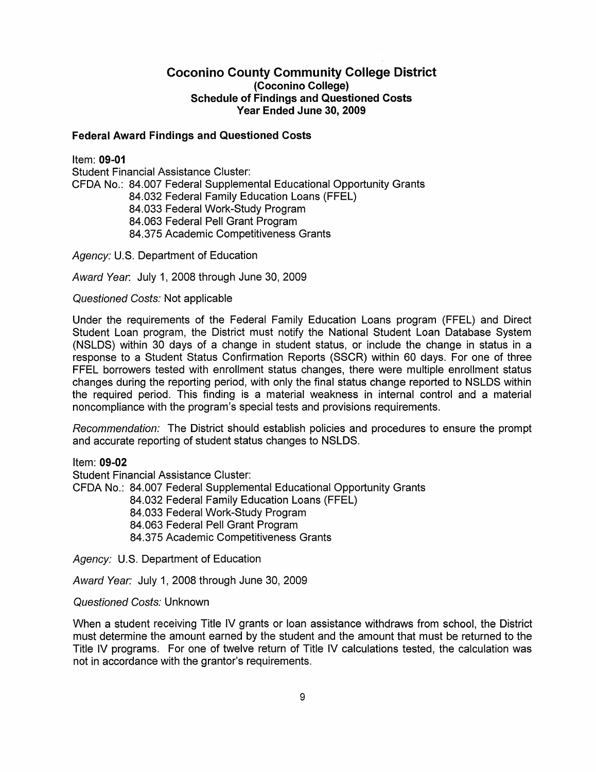### Coconino County Community College District (Coconino College) Schedule of Findings and Questioned Costs Year Ended June 30, 2009

#### Federal Award Findings and Questioned Costs

Item: 09-01 Student Financial Assistance Cluster: CFDA No.: 84.007 Federal Supplemental Educational Opportunity Grants 84.032 Federal Family Education Loans (FFEL) 84.033 Federal Work-Study Program 84.063 Federal Pell Grant Program 84.375 Academic Competitiveness Grants

Agency: U.S. Department of Education

Award Year. July 1, 2008 through June 30, 2009

Questioned Costs: Not applicable

Under the requirements of the Federal Family Education Loans program (FFEL) and Direct Student Loan program, the District must notify the National Student Loan Database System (NSLDS) within 30 days of a change in student status, or include the change in status in a response to a Student Status Confirmation Reports (SSCR) within 60 days. For one of three FFEL borrowers tested with enrollment status changes, there were multiple enrollment status changes during the reporting period, with only the final status change reported to NSLDS within the required period. This finding is a material weakness in internal control and a material noncompliance with the program's special tests and provisions requirements.

Recommendation: The District should establish policies and procedures to ensure the prompt and accurate reporting of student status changes to NSLDS.

Item: 09-02

Student Financial Assistance Cluster:

CFDA No.: 84.007 Federal Supplemental Educational Opportunity Grants

84.032 Federal Family Education Loans (FFEL)

84.033 Federal Work-Study Program

84.063 Federal Pell Grant Program

84.375 Academic Competitiveness Grants

Agency: U.S. Department of Education

Award Year: July 1, 2008 through June 30, 2009

### Questioned Costs: Unknown

When a student receiving Title IV grants or loan assistance withdraws from school, the District must determine the amount earned by the student and the amount that must be returned to the Title IV programs. For one of twelve return of Title IV calculations tested, the calculation was not in accordance with the grantor's requirements.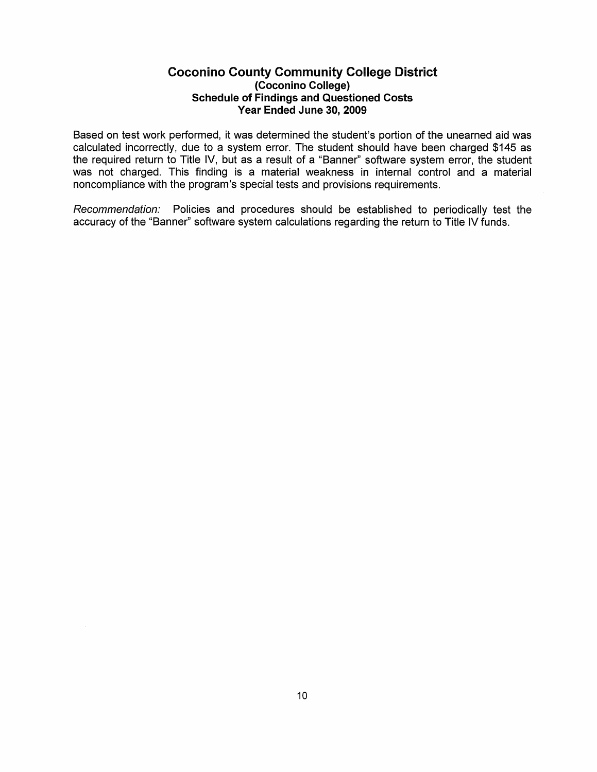### Coconino County Community College District (Coconino College) Schedule of Findings and Questioned Costs Year Ended June 30,2009

Based on test work performed, it was determined the student's portion of the unearned aid was calculated incorrectly, due to a system error. The student should have been charged \$145 as the required return to Title IV, but as a result of a "Banner" software system error, the student was not charged. This finding is a material weakness in internal control and a material noncompliance with the program's special tests and provisions requirements.

Recommendation: Policies and procedures should be established to periodically test the accuracy of the "Banner" software system calculations regarding the return to Title IV funds.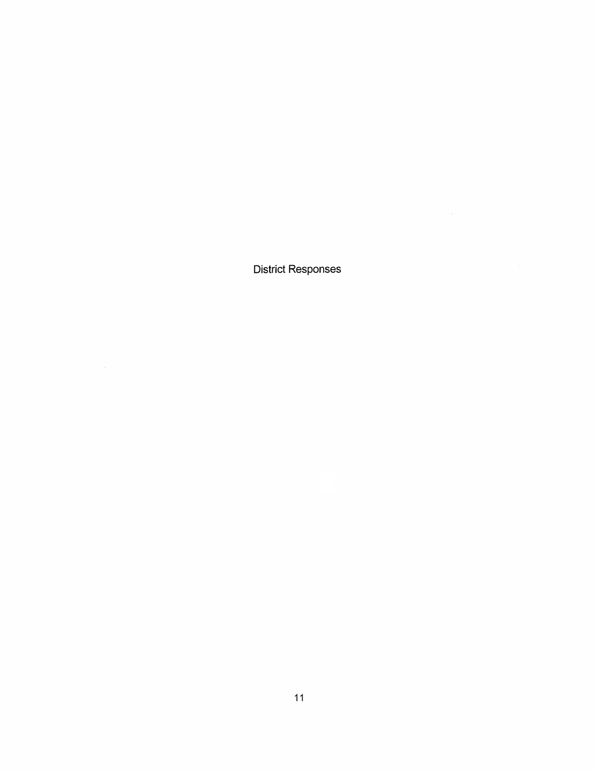District Responses

 $\mathcal{L}^{\text{max}}_{\text{max}}$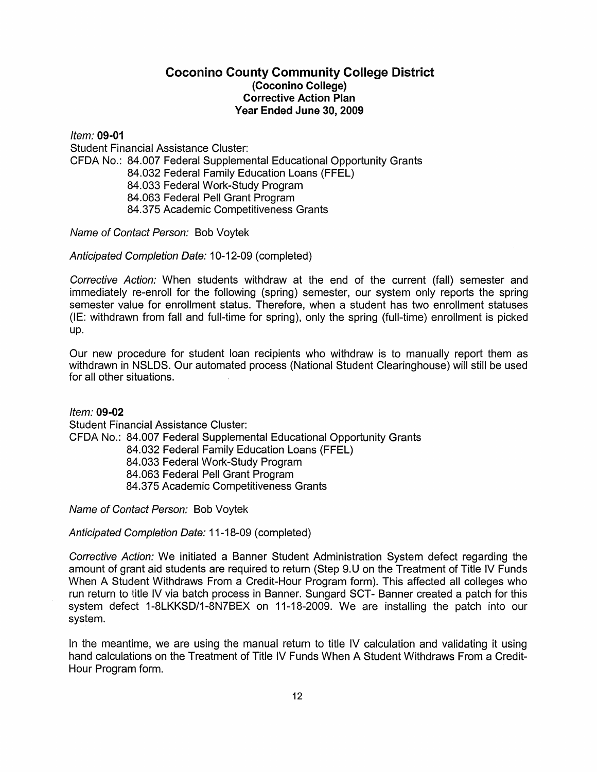### Coconino County Community College District (Coconino College) Corrective Action Plan Year Ended June 30, 2009

Item: 09·01 Student Financial Assistance Cluster: CFDA No.: 84.007 Federal Supplemental Educational Opportunity Grants 84.032 Federal Family Education Loans (FFEL) 84.033 Federal Work-Study Program 84.063 Federal Pell Grant Program 84.375 Academic Competitiveness Grants

Name of Contact Person: Bob Voytek

Anticipated Completion Date: 10-12-09 (completed)

Corrective Action: When students withdraw at the end of the current (fall) semester and immediately re-enroll for the following (spring) semester, our system only reports the spring semester value for enrollment status. Therefore, when a student has two enrollment statuses (IE: withdrawn from fall and full-time for spring), only the spring (full-time) enrollment is picked up.

Our new procedure for student loan recipients who withdraw is to manually report them as withdrawn in NSLDS. Our automated process (National Student Clearinghouse) will still be used for all other situations.

Item: 09·02 Student Financial Assistance Cluster: CFDA No.: 84.007 Federal Supplemental Educational Opportunity Grants 84.032 Federal Family Education Loans (FFEL) 84.033 Federal Work-Study Program 84.063 Federal Pell Grant Program 84.375 Academic Competitiveness Grants

Name of Contact Person: Bob Voytek

Anticipated Completion Date: 11-18-09 (completed)

Corrective Action: We initiated a Banner Student Administration System defect regarding the amount of grant aid students are required to return (Step 9.U on the Treatment of Title IV Funds When A Student Withdraws From a Credit-Hour Program form). This affected all colleges who run return to title IV via batch process in Banner. Sungard SCT- Banner created a patch for this system defect 1-8LKKSD/1-8N7BEX on 11-18-2009. We are installing the patch into our system.

In the meantime, we are using the manual return to title IV calculation and validating it using hand calculations on the Treatment of Title IV Funds When A Student Withdraws From a Credit-Hour Program form.